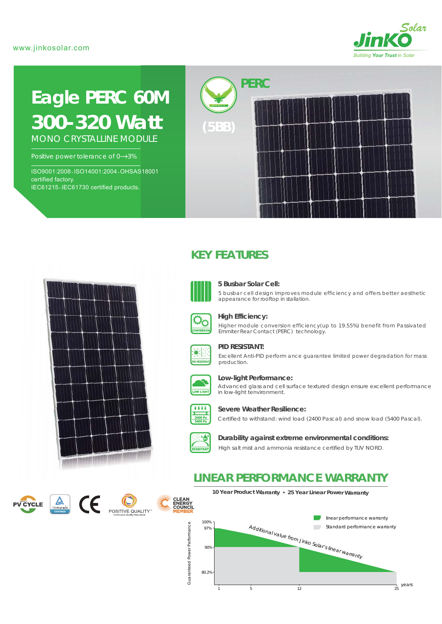

# **Eagle PERC 60M** *300-320 Watt*

MONO CRYSTALLINE MODULE

Positive power tolerance of 0~+3%

ISO9001:2008、ISO14001:2004、OHSAS18001 certified factory. IEC61215、IEC61730 certified products.



# <u>na ama ama ama ama an</u>

# **KEY FEATURES**



### **5 Busbar Solar Cell:**

5 busbar cell design improves module efficiency and offers better aesthetic appearance for rooftop in stallation.



### **High Efficiency:**

Higher module conversion efficiency(up to 19.55%) benefit from Passivated Emmiter Rear Contact (PERC) technology.



### **PID RESISTANT:**

Excellent Anti-PID perform ance guarantee limited power degradation for mass production.



### **Low-light Performance:**

Advanced glass and cell surface textured design ensure excellent performance in low-light tenvironment.



### **Severe Weather Resilience:**

Certified to withstand: wind load (2400 Pascal) and snow load (5400 Pascal).



### **Durability against extreme environmental conditions:**

High salt mist and ammonia resistance certified by TUV NORD.

## **LINEAR PERFORMANCE WARRANTY**